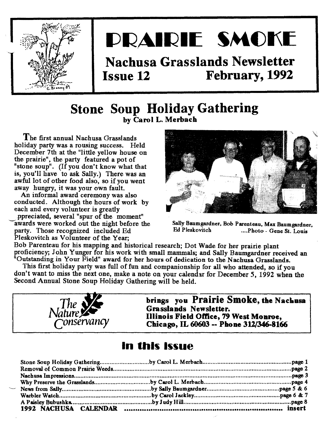

# **DRAIRIE SMOKE**

# Nachusa Grasslands Newsletter Issue 12 February, 1992

### Stone Soup Holiday Gathering by Carol L. Merbach

The first annual Nachusa Grasslands holiday party was a rousing success. Held December 7th at the "little yellow house on the prairie", the party featured a pot of "stone soup". (If you don't know what that is, you'll have to ask Sally.) There was an awful lot of other food also, so if you went away hungry, it was your own fault.

An informal award ceremony was also conducted. Although the hours of work by each and every volunteer is greatly .ppreciated, several "spur of the moment" awards were worked out the night before the party. Those recognized included Ed

Pleskovitch as Volunteer of the Year:



Sally Baumgardner, Bob Parenteau, Max Baumgardner, Ed Pleskovitch .....Photo - Gene St. Louis

Bob Parenteau for his mapping and historical research; Dot Wade for her prairie plant proficiency; John Yunger for his work with small mammals; and Sally Baumgardner received an "Outstanding in Your Field" award for her hours of dedication to the Nachusa Grasslands.

This first holiday party was full of fun and companionship for all who attended, so if you don't want to miss the next one, make a note on your calendar for December 5, 1992 when the Second Annual Stone Soup Holiday Gathering will be held.



brings you Prairie Smoke, the Nachusa Grasslands Newsletter. Illinois Field Office, 79 West Monroe, Chicago, IL 60603 -- Phone 312/346-8166

### In this Issue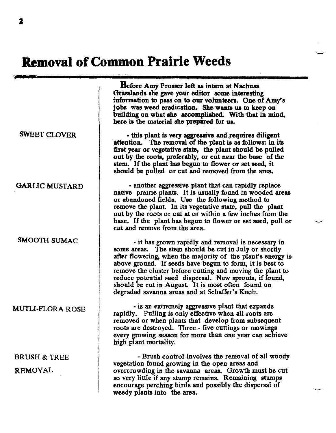# **Removal of Common Prairie Weeds**

SWEET CLOVER GARUC MUSTARD SMOOTH SUMAC MUTLI-FLORA ROSE BRUSH & TREE REMOVAL Before Amy Prosser left as intern at Nachusa Grasslands she gave your editor some interesting information to pass on to our volunteers. One of Amy's jobs was weed eradication. She wants us to keep on building on what she accomplished. With that in mind, here is the material she prepared for us. - this plant is very aggressive and requires diligent attention. The removal of the plant is as follows: in its first year or vegetative state, the plant should be pulled out by the roots, preferably, or cut near the base of the stem. If the plant has begun to flower or set seed, it should be pulled or cut and removed from the area. - another aggressive plant that can rapidly replace native prairie plants. It is usually found in wooded areas or abandoned fields. Use the following method to remove the plant. In its vegetative state, pull the plant out by the roots or cut at or within a few inches from the base. If the plant has begun to flower or set seed, pull or cut and remove from the area. - it has grown rapidly and removal is necessary in some areas. The stem should be cut in July or shortly after flowering, when the majority of the plant's energy is above ground. If seeds have begun to form, it is best to remove the cluster before cutting and moving the plant to reduce potential seed dispersal. New sprouts, if found, should be cut in August. It is most often found on degraded savanna areas and at Schaffer's Knob. - is an extremely aggressive plant that expands rapidly. Pulling is only effective when all roots are removed or when plants that develop from subsequent roots are destroyed. Three - five cuttings or mowings every growing season for more than one year can achieve high plant mortality. - Brush control involves the removal of all woody vegetation found growing in the open areas and overcrowding in the savanna areas. Growth must be cut 80 very little if any stump remains. Remaining stumps encourage perching birds and possibly the dispersal of weedy plants into the area.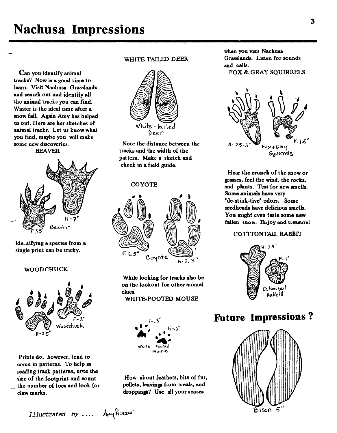# **Nachusa Impressions**

Can you identify animal tracks? Now is a good time to learn. Visit Nachusa Grasslands and search out and identify all the animal tracks you can find. Winter is the ideal time after a snow fall. Again Amy has helped us out. Here are her sketches of animal tracks. Let us know what you find. maybe you will make some new discoveries. BEAVER



Ideutifying a species from a single print can be tricky.

#### WOODCHUCK



Prints do, however. tend to come in patterns. To help in reading track patterns. note the size of the footprint and count the number of toes and look for claw marks.

#### WHITE-TAILED DEER



Note the distance between the tracks and the width of the pattern. Make a sketch and check in a field guide.

#### COYOTE



While looking for tracks also be on the lookout for other animal clues.

WHITE-FOOTED MOUSE



How about feathers. bits of fur. pellets, leavings from meals, and droppings? Use all your senses

when you visit Nachusa Grasslands. Listen for sounds and calls. FOX &. GRAY SQUIRRELS



Hear the crunch of the snow or grasses. feel the wind. the rocks. and plants. Test for new smells. Some animals have very "de-stink-tive" odors. Some seedheads have delicious smells. You might even taste some new fallen snow. Enjoy and treasure!

#### COTITONTAIL RABBIT



### **Future Impressions?**



*Illustrated by .....*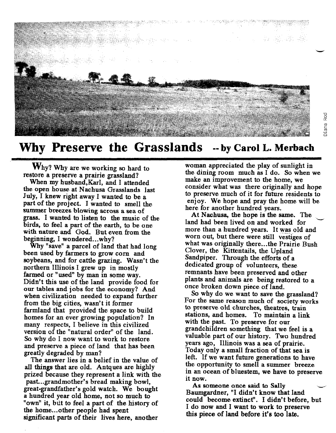

### **Why Preserve the Grasslands --by Carol L. Merbach**

Why? Why are we working so hard to restore a preserve a prairie grassland?

When my husband,KarI, and I attended the open house at Nachusa Grasslands last July, I knew right away I wanted to be a part of the project. I wanted to smell the summer breezes blowing across a sea of grass. I wanted to listen to the music of the birds, to feel a part of the earth, to be one with nature and God. But even from the beginning, I wondered...why?

Why "save" a parcel of land that had long been used by farmers to grow com and soybeans, and for cattle grazing. Wasn't the northern Illinois I grew up in mostly farmed or "used" by man in some way. Didn't this use of the land provide food for our tables and jobs for the economy? And when civilization needed to expand further from the big cities, wasn't it former farmland that provided the space to build homes for an ever growing population? In many respects, I believe in this civilized version of the "natural order" of the land. So why do I now want to work to restore and preserve a piece of land that has been greatly degraded by man?

The answer lies in a belief in the value of all things that are old. Antques are highly prized because they represent a link with the past...grandmother's bread making bowl, great-grandfather's gold watch. We bought a hundred year old home, not so much to "own" it, but to feel a part of the history of the home...other people had spent significant parts of their lives here, another

woman appreciated the play of sunlight in the dining room much as I do. So when we make an improvement to the home, we consider what was there originally and hope to preserve much of it for future residents to enjoy. We hope and pray the home will be here for another hundred years.

c<br>c

Diana

At Nachusa, the hope is the same. The land had been lived on and worked for more than a hundred years. It was old and worn out, but there were still vestiges of what was originally there...the Prairie Bush Clover, the Kittentails, the Upland Sandpiper. Through the efforts of a dedicated group of volunteers, these remnants have been preserved and other plants and animals are being restored to a once broken down piece of land.

So why do we want to save the grassland? For the same reason much of society works to preserve old churches, theatres, train stations, and homes. To maintain a link with the past. To preserve for our grandchildren something that we feel is a valuable part of our history. Two hundred years ago, Illinois was a sea of prairie. Today only a small fraction of that sea is left. If we want future generations to have the opportunity to smell a summer breeze in an ocean of bluestem, we have to preserve it now.

As someone once said to Sally Baumgardner, "I didn't know that land could become extinct". I didn't before, but I do now and I want to work to preserve this piece of land before it's too late.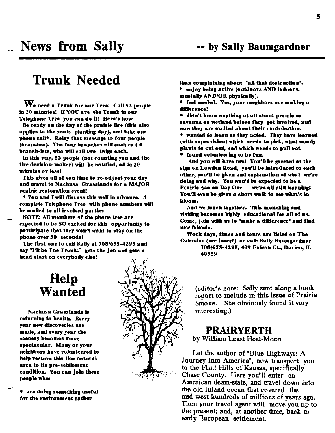### $$

We need a Trunk for our Tree! Call 52 people in 20 minutes! H YOU are the Trunk in our Telephone Tree, you can do it! Here's how:

Be ready on the day of the prairie fire (this also applies to the seeds planting day), and take one phone call<sup>+</sup>. Relay that message to four people (branches). The four branches will each call 4 branch-lets, who will call two twigs each.

In this way, 52 people (not counting you and the fire decision-maker) will be notified, all in  $20$ minutes or less!

This gives all of you time to re-adjust your day and travel to Nachusa Grasslands for a MAJOR prairie restoration event!

\* You and I will discuss this well in advance. A complete Telephone Tree with phone numbers will be mailed to all involved parties.

NOTE: All members of the phone tree are expected to be SO excited for this opportunity to participate that they won't want to stay on the phone over 30 seconds!

The first one to call Sally at 708/655-4295 and say "I'll be The Trunk!" gets the job and gets a head start on everybody else!

# Help Wanted

Nachusa Grasslands is returning to health. Every year new discoveries are made, and every year the scenery becomes more spectacular. Many or your neighbors have volunteered to help restore this fine natural area to its pre-settlement condition. You can join these people who:

\* are doing something useful for the environment rather

\* enjoy being active (outdoors AND indoors,

mentally AND/OR physically).

\* feel needed. Yes, your neighbors are making a difference!

<sup>\*</sup> didn't know anything at all about prairie or savanna or wetland before they got involved, and now they are excited about their contribution. \* wanted to learn as they acted. They have learned (with supervision) which seeds to pick, what woody plants to cut out, and which weeds to pull out.

\* found volunteering to be fun.

60559

And you will have fun! You'll be greeted at the sign on Lowden Road, you'll be introduced to each other, you'll be given and explanation of what we're doing and why. You won't be expected to be a Prairie Ace on Day One -- we're all still learning! You'll even be given a short walk to see what's in bloom.

And we lunch together. This munching and visiting becomes highly educational for all of us. Come, join with us to "make a difference" and find new friends.

Work days, times and tours are listed on The Calendar (see insert) or call: Sally Baumgardner 708/655-4295, 409 Falcon Ct., Darien, IL

> (editor's note: Sally sent along a book report to include in this issue of Prairie Smoke. She obviously found it very interesting.)

### PRAIRYERTH

by William Least Heat-Moon

Let the author of "Blue Highways: A Journey Into America", now transport you to the Flint Hills of Kansas, specifically Chase County. Here you'll enter an American deam-state, and travel down into the old inland ocean that covered the mid-west hundreds of millions of years ago. Then your travel agent will move you up to the present; and, at another time, back to early European settlement.

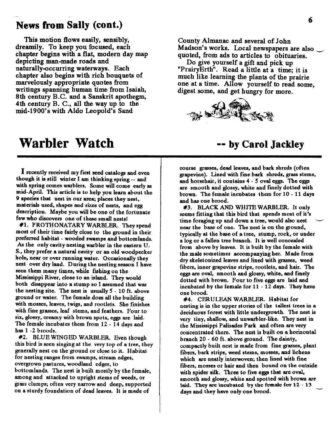### **News from Sally** (eont.)

This motion flows easily, sensibly, dreamily. To keep you focused, each chapter begins with a flat, modern day map depicting man-made roads and naturally-occurring waterways. Each chapter also begins with rich bouquets of marvelously appropriate quotes from writings spanning human time from Isaiah, 8th century B.C. and a Sanskrit apothegm, 4th century B. C., all the way up to the mid-1900's with Aldo Leopold's Sand

### **Warbler Watch**

Irecently received my first seed catalogs and even though it is still winter I am thinking spring -- and with spring comes warblers. Some will come early as mid-April. This article is to help you learn about the 9 species that nest in our area; places they nest, materials used, shapes and sizes of nests, and egg description. Maybe you will be one of the fortunate few who discovers one of these small nests!

#1. PROTHONATARY WARBLER. They spend most of their time fairly close to the ground in their preferred habitat - wooded swamps and bottom lands. *As* the only cavity nesting warbler in the eastern U. S.• they prefer a natural cavity or an old woodpecker hole. near or over running water. Occasionally they nest over dry land. During the nesting season I have seen them many times. while fishing on the Mississippi River, close to an island. They would both disappear into a stump so I assumed that was the nesting site. The nest is usually  $5 - 10$  ft. above ground or water. The female does all the building with mosses, leaves, twigs, and rootlets. She finishes with fine grasses, leaf stems, and feathers. Four to six, glossy, creamy with brown spots. eggs are laid. The female incubates them from 12 - 14 days and has  $1 - 2$  broods.

#2. BLUE WINGED WARBLER. Even though this bird is seen singing at the very top of a tree, they generally nest on the ground or close to it. Habitat for nesting ranges from swamps, stream edges, overgrown pastures, woodland edges, to bottom lands. The nest is built mostly by the female. among and attacked to upright stems of weeds, or grass clumps; often very narrow and deep. supported on a sturdy foundation of dead leaves. It is made of

County Almanac and several of John Madson's works. Local newspapers are also quoted, from ads to articles to obituaries.

Do give yourself a gift and pick up "PrairyErth". Read a little at a time; it is much like learning the plants of the prairie one at a time. Allow yourself to read some, digest some, and get hungry for more.



### **-- by Carol Jackley**

course grasses, dead leaves, and bark shreds (often grapevine). Lined with fine bark shreds, grass stems, and horsehair, it contains 4 - 5 oval eggs. The eggs are smooth and glossy, white and finely dotted with brown. The female incubates them for 10 - 11 days and has one brood.

#3. BLACK AND WHITE WARBLER. It only seems fitting that this bird that spends most of it's time foraging up and down a tree, would also nest near the base of one. The nest is on the ground, typically at the base of a tree, stump, rock. or under a log or a fallen tree branch. It is well concealed from above by leaves. It is built by the female with the male sometimes accompanying her. Made from dry skeletonized leaves and lined with grasses. weed fibers, inner grapevine strips, rootlets, and hair. The eggs are oval, smooth and glossy, white, and finely dotted with brown. Four to five eggs are laid and incubated by the female for  $11 - 12$  days. They have one brood.

#4. CERULEAN WARBLER. Habitat for nesting is in the upper stories of the tallest trees in a deciduous forest with little undergrowth. The nest is very tiny, shallow, and unwarbler-Iike. They nest in the Mississippi Palisades Park and often are very concentrated there. The nest is built on a horizontal branch 20 - 60 ft. above ground. The dainty, compactly built nest is made from fine grasses, plant fibers, bark strips, weed stems, mosses, and lichens which are neatly interwoven; then lined with fine fibers. mosses or hair and then bound on the outside with spider silk. Three to five eggs that are oval. smooth and glossy, white and spotted with brown are laid. They are incubated by the female for  $12 - 13$ days and they have only one brood.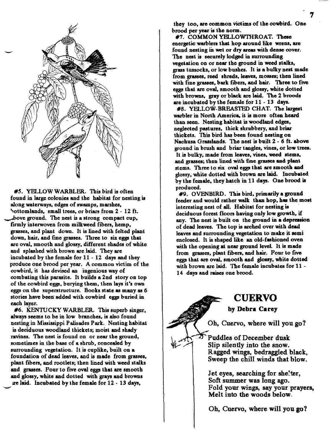

#5. YELLOW WARBLER. This bird is often found in large colonies and the habitat for nesting is along waterways, edges of swamps, marshes. Sottomlands, small trees, or briars from 2 - 12 ft. bove ground. The nest is a strong compact cup, firmly interwoven from milkweed fibers. hemp. grasses, and plant down. It is lined with felted plant down, hair, and fine grasses. Three to six eggs that are oval, smooth and glossy. different shades of white and splashed with brown are laid. They are incubated by the female for 11 - 12 days and they produce one brood per year. A common victim of the cowbird. it has devised an ingenious way of combating this parasite. It builds a 2nd story on top of the cowbird eggs. burying them. then lays it's own eggs on the superstructure. Books state as many as 6 stories have been added with cowbird eggs buried in each layer.

#6. KENTUCKY WARBLER. This superb singer, always seems to be in low branches, is also found nesting in Mississippi Palisades Park. Nesting habitat is deciduous woodland thickets; moist and shady ravines. The nest is found on or near the ground. sometimes in the base of a shrub, concealed by surrounding vegetation. It is cuplike, built on a foundation of dead leaves, and is made from grasses. plant fibers, and rootlets; then lined with weed stalks and grasses. Pour to five oval eggs that are smooth and glossy, white and dotted with grays and browns U'elaid. Incubated by the female for 12 - 13 days,

~

they too. are common victims of the cowbird. One brood per year is the norm.

#7. COMMON YELLOWTHROAT. These energetic warblers that hop around like wrens. are found nesting in wet or dry areas with dense cover. The nest is securely lodged in surrounding vegetation on or near the ground in weed stalks. grass tussocks. or low bushes. It is a bulky nest made from grasses, reed shreds, leaves, mosses; then lined with fine grasses. bark fibers, and hair. Three to five eggs that are oval. smooth and glossy, white dotted with browns, gray or black are laid. The 2 broods are incubated by the female for 11 - 13 days.

#8. YELLOW-BREASTED CHAT. The largest warbler in North America, it is more often heard than seen. Nesting habitat is woodland edges, neglected pastures, thick shrubbery, and briar thickets. This bird has been found nesting on Nachusa Grasslands. The nest is built 2 - 6 ft. above ground in brush and briar tangles. vines. or low trees. It is bulky, made from leaves. vines, weed stems. and grasses; then lined with fine grasses and plaat stems. Three to six oval eggs that are smooth and glossy, white dotted with brown are laid. Incubated by the female, they hatch in 11 days. One brood is produced.

#9. OVENBIRD. This bird. primarily a ground feeder and would rather walk than hop, has the most interesting nest of all. Habitat for nesting is deciduous forest floors having only low growth. if any. The nest is built on the ground in a depression of dead leaves. The top is arched over with dead leaves and surrounding vegetation to make it semi enclosed. It is shaped like an old-fashioned oven with the opening at near ground level. It is made from grasses, plant fibers, and hair. Pour to five eggs that are oval, smooth and glossy, white dotted with brown are laid. The female incubates for 11 - 14 days and raises one brood.

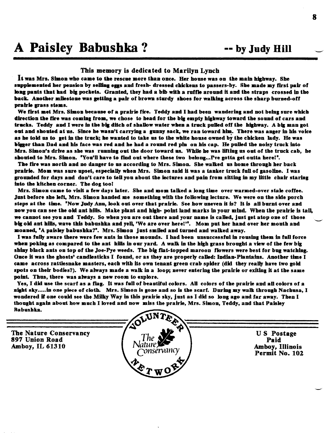# A Paisley Babushka? -- by Judy Hill

The Nature Conservancy

897 Union Road Amboy, IL 61310

#### This memory is dedicated to Marilyn Lynch

It was Mrs. Simon who came to the rescue more than once. Her house was on the main highway. She supplemented her pension by selling eggs and fresh- dressed chickens to passers-by. She made my first pair of long pants that had big pockets. Granted, they had a bib with a ruffle around it and the straps crossed in the back. Another milestone was getting a pair of brown sturdy shoes for walking across the sharp burned-off prairie grass stems.

We first met Mrs. Simon because of a prairie fire. Teddy and I had been wandering and not being sure which direction the fire was coming from, we chose to head for the big empty highway toward the sound of cars and trucks. Teddy and I were in the big ditch of shallow water when a truck pulled off the highway. A big man got out and shouted at us. Since he wasn't carrying a gunny sack, we ran toward him. There was anger in his voice as he told us to get in the truck; he wanted to take us to the white house owned by the chicken lady. He was bigger than Dad and his face was red and he had a round red pin on his cap. He pulled the noisy truck into Mrs. Simon's drive as she was running out the door toward us. While he was lifting us out of the truck cab, he shouted to Mrs. Simon. "You'll have to find out where these two belong...Pve gotta get outta here!".

The fire was north and no danger to us according to Mrs. Simon. She walked us home through her back prairie. Mom was sure upset, especially when Mrs. Simon said it was a tanker truck full of gasoline. I was grounded for days and don't care to tell you about the lectures and pain from sitting in my little chair staring into the kitchen corner. The dog too!

Mrs. Simon came to visit a few days later. She and mom talked a long time over warmed-over stale coffee. Just before she left, Mrs. Simon handed me something with the following lecture. We were on the side porch steps at the time. "Now Judy Ann, look out over that prairie. See how uneven it is? It is all burnt over and now you can see the old ant hills. Make plant and high- point land marks in your mind. When the prairie is tall, we cannot see you and Teddy. So when you are out there and your name is called, just get atop one of those big old ant hills, wave this babushka and yell, 'We are over here!'". Mom put her hand over her mouth and moaned, "A paisley babushka?". Mrs. Simon just smiled and turned and walked away.

I was fully aware there were few ants in those mounds. I had been unsuccessful in rousing them in full force when poking as compared to the ant hills in our yard. A walk in the high grass brought a view of the few big shiny black ants on top of the Joe-Pye weeds. The big flat-topped maroon flowers were best for bug watching. Once it was the ghosts' candlesticks I found, or as they are properly called: Indian-Plantains. Another time I came across rattlesnake masters, each with its own tenant green crab spider (did they really have two gold spots on their bodies?). We always made a walk in a loop; never entering the prairie or exiting it at the same point. Thus, there was always a new room to explore.

Yes, I did use the scarf as a flag. It was full of beautiful colors. All colors of the prairie and all colors of a night sky.....in one piece of cloth. Mrs. Simon is gone and so is the scarf. During my walk through Nachusa, I wondered if one could see the Milky Way in this prairie sky, just as I did so long ago and far away. Then I thought again about how much I loved and now miss the prairie, Mrs. Simon, Teddy, and that Paisley Babushka.



US Postage Paid Amboy, Illinois Permit No. 102